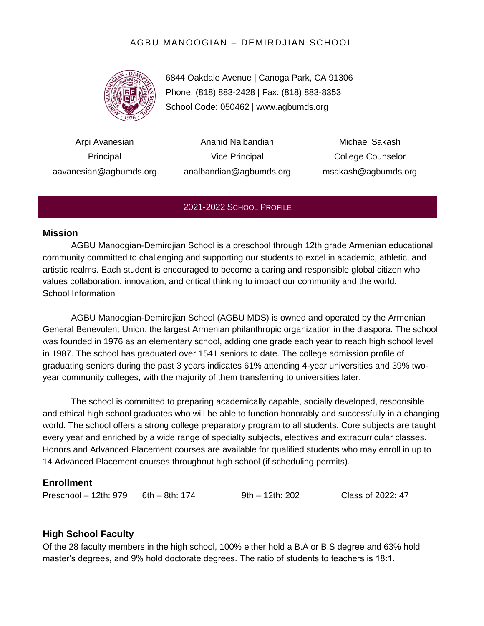## AGBU MANOOGIAN – DEMIRDJIAN SCHOOL



6844 Oakdale Avenue | Canoga Park, CA 91306 Phone: (818) 883-2428 | Fax: (818) 883-8353 School Code: 050462 | www.agbumds.org

Arpi Avanesian Principal aavanesian@agbumds.org

Anahid Nalbandian Vice Principal analbandian@agbumds.org

Michael Sakash College Counselor msakash@agbumds.org

#### 2021-2022 SCHOOL PROFILE

#### **Mission**

AGBU Manoogian-Demirdjian School is a preschool through 12th grade Armenian educational community committed to challenging and supporting our students to excel in academic, athletic, and artistic realms. Each student is encouraged to become a caring and responsible global citizen who values collaboration, innovation, and critical thinking to impact our community and the world. School Information

AGBU Manoogian-Demirdjian School (AGBU MDS) is owned and operated by the Armenian General Benevolent Union, the largest Armenian philanthropic organization in the diaspora. The school was founded in 1976 as an elementary school, adding one grade each year to reach high school level in 1987. The school has graduated over 1541 seniors to date. The college admission profile of graduating seniors during the past 3 years indicates 61% attending 4-year universities and 39% twoyear community colleges, with the majority of them transferring to universities later.

The school is committed to preparing academically capable, socially developed, responsible and ethical high school graduates who will be able to function honorably and successfully in a changing world. The school offers a strong college preparatory program to all students. Core subjects are taught every year and enriched by a wide range of specialty subjects, electives and extracurricular classes. Honors and Advanced Placement courses are available for qualified students who may enroll in up to 14 Advanced Placement courses throughout high school (if scheduling permits).

#### **Enrollment**

Preschool – 12th: 979 6th – 8th: 174 9th – 12th: 202 Class of 2022: 47

#### **High School Faculty**

Of the 28 faculty members in the high school, 100% either hold a B.A or B.S degree and 63% hold master's degrees, and 9% hold doctorate degrees. The ratio of students to teachers is 18:1.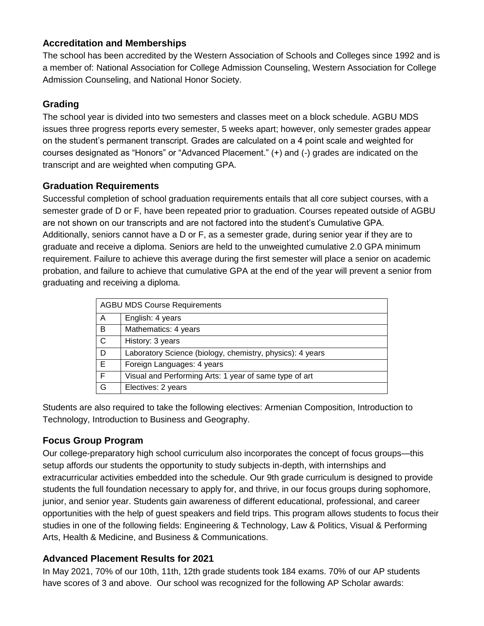## **Accreditation and Memberships**

The school has been accredited by the Western Association of Schools and Colleges since 1992 and is a member of: National Association for College Admission Counseling, Western Association for College Admission Counseling, and National Honor Society.

# **Grading**

The school year is divided into two semesters and classes meet on a block schedule. AGBU MDS issues three progress reports every semester, 5 weeks apart; however, only semester grades appear on the student's permanent transcript. Grades are calculated on a 4 point scale and weighted for courses designated as "Honors" or "Advanced Placement." (+) and (-) grades are indicated on the transcript and are weighted when computing GPA.

# **Graduation Requirements**

Successful completion of school graduation requirements entails that all core subject courses, with a semester grade of D or F, have been repeated prior to graduation. Courses repeated outside of AGBU are not shown on our transcripts and are not factored into the student's Cumulative GPA. Additionally, seniors cannot have a D or F, as a semester grade, during senior year if they are to graduate and receive a diploma. Seniors are held to the unweighted cumulative 2.0 GPA minimum requirement. Failure to achieve this average during the first semester will place a senior on academic probation, and failure to achieve that cumulative GPA at the end of the year will prevent a senior from graduating and receiving a diploma.

| <b>AGBU MDS Course Requirements</b> |                                                           |  |  |
|-------------------------------------|-----------------------------------------------------------|--|--|
| A                                   | English: 4 years                                          |  |  |
| B                                   | Mathematics: 4 years                                      |  |  |
| C                                   | History: 3 years                                          |  |  |
| D                                   | Laboratory Science (biology, chemistry, physics): 4 years |  |  |
| E                                   | Foreign Languages: 4 years                                |  |  |
| F                                   | Visual and Performing Arts: 1 year of same type of art    |  |  |
| G                                   | Electives: 2 years                                        |  |  |

Students are also required to take the following electives: Armenian Composition, Introduction to Technology, Introduction to Business and Geography.

# **Focus Group Program**

Our college-preparatory high school curriculum also incorporates the concept of focus groups—this setup affords our students the opportunity to study subjects in-depth, with internships and extracurricular activities embedded into the schedule. Our 9th grade curriculum is designed to provide students the full foundation necessary to apply for, and thrive, in our focus groups during sophomore, junior, and senior year. Students gain awareness of different educational, professional, and career opportunities with the help of guest speakers and field trips. This program allows students to focus their studies in one of the following fields: Engineering & Technology, Law & Politics, Visual & Performing Arts, Health & Medicine, and Business & Communications.

# **Advanced Placement Results for 2021**

In May 2021, 70% of our 10th, 11th, 12th grade students took 184 exams. 70% of our AP students have scores of 3 and above. Our school was recognized for the following AP Scholar awards: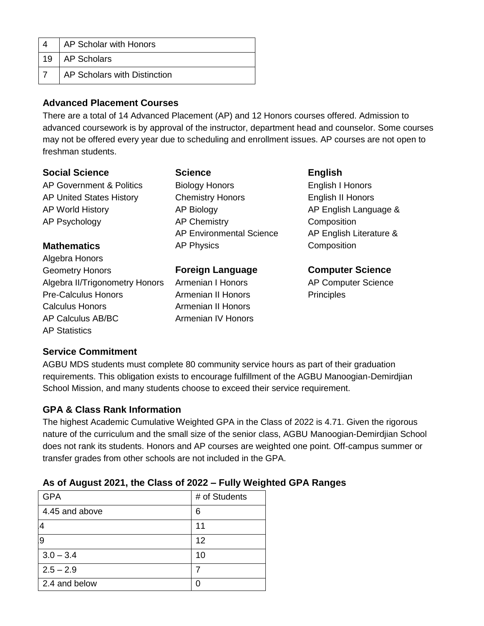|    | AP Scholar with Honors       |
|----|------------------------------|
| 19 | AP Scholars                  |
|    | AP Scholars with Distinction |

#### **Advanced Placement Courses**

There are a total of 14 Advanced Placement (AP) and 12 Honors courses offered. Admission to advanced coursework is by approval of the instructor, department head and counselor. Some courses may not be offered every year due to scheduling and enrollment issues. AP courses are not open to freshman students.

#### **Social Science**

AP Government & Politics AP United States History AP World History AP Psychology

## **Mathematics**

Algebra Honors Geometry Honors Algebra II/Trigonometry Honors Pre-Calculus Honors Calculus Honors AP Calculus AB/BC AP Statistics

#### **Science**

Biology Honors Chemistry Honors AP Biology AP Chemistry AP Environmental Science AP Physics

#### **Foreign Language**

Armenian I Honors Armenian II Honors Armenian II Honors Armenian IV Honors

### **English** English I Honors English II Honors AP English Language & **Composition** AP English Literature & **Composition**

**Computer Science** AP Computer Science **Principles** 

## **Service Commitment**

AGBU MDS students must complete 80 community service hours as part of their graduation requirements. This obligation exists to encourage fulfillment of the AGBU Manoogian-Demirdjian School Mission, and many students choose to exceed their service requirement.

## **GPA & Class Rank Information**

The highest Academic Cumulative Weighted GPA in the Class of 2022 is 4.71. Given the rigorous nature of the curriculum and the small size of the senior class, AGBU Manoogian-Demirdjian School does not rank its students. Honors and AP courses are weighted one point. Off-campus summer or transfer grades from other schools are not included in the GPA.

| <b>GPA</b>     | # of Students |
|----------------|---------------|
| 4.45 and above | 6             |
| 4              | 11            |
| 9              | 12            |
| $3.0 - 3.4$    | 10            |
| $2.5 - 2.9$    |               |
| 2.4 and below  |               |
|                |               |

## **As of August 2021, the Class of 2022 – Fully Weighted GPA Ranges**